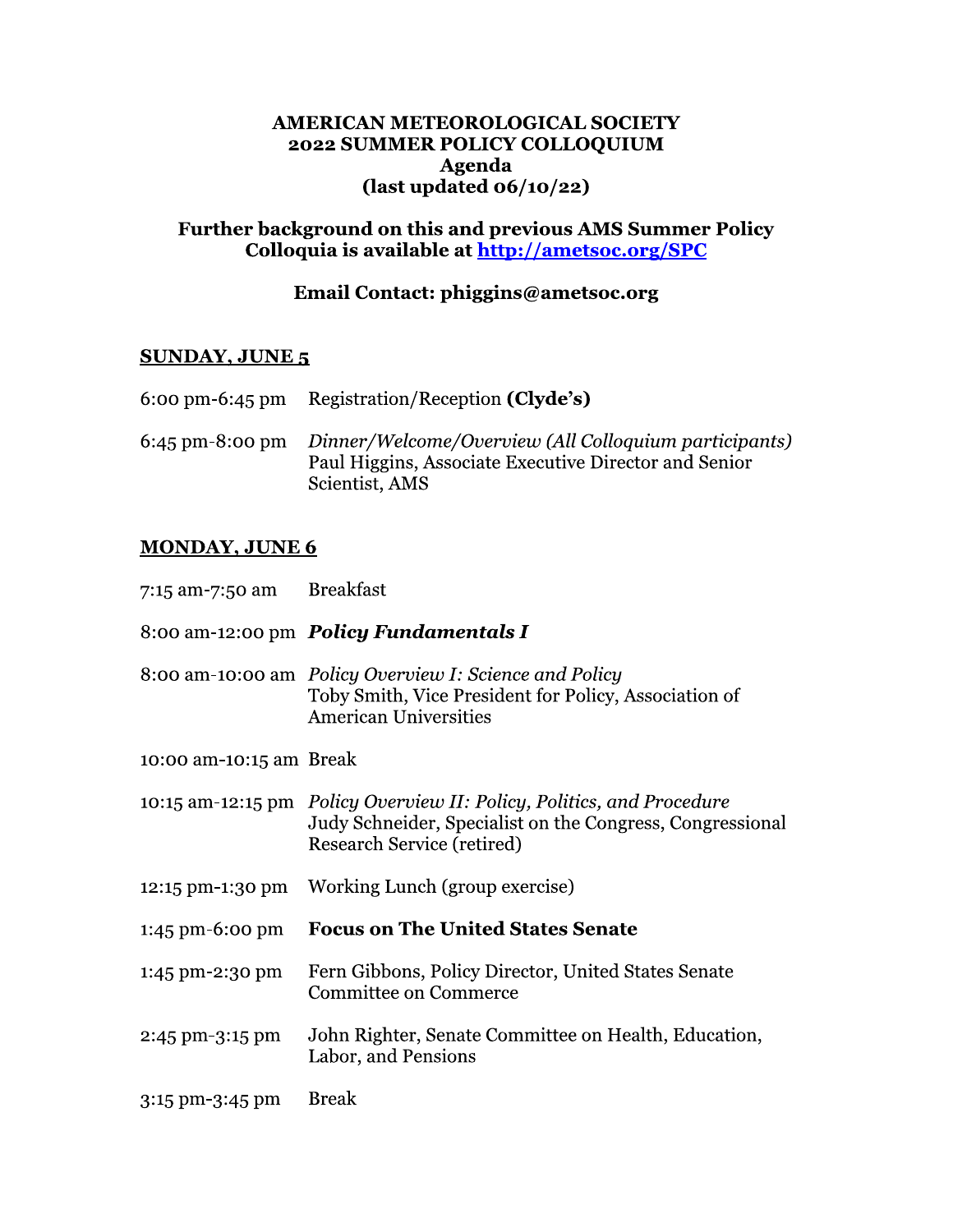#### AMERICAN METEOROLOGICAL SOCIETY 2022 SUMMER POLICY COLLOQUIUM **Agenda** (last updated  $06/10/22$ )

## Further background on this and previous AMS Summer Policy Colloquia is available at http://ametsoc.org/SPC

# Email Contact: phiggins@ametsoc.org

## **SUNDAY, JUNE 5**

| 6:00 pm-6:45 pm Registration/Reception $\alpha$ Clyde's)                                                                                         |
|--------------------------------------------------------------------------------------------------------------------------------------------------|
| 6:45 pm-8:00 pm Dinner/Welcome/Overview (All Colloquium participants)<br>Paul Higgins, Associate Executive Director and Senior<br>Scientist, AMS |

#### **MONDAY, JUNE 6**

| 7:15 am-7:50 am Breakfast |                                                                                                                                                                         |
|---------------------------|-------------------------------------------------------------------------------------------------------------------------------------------------------------------------|
|                           | 8:00 am-12:00 pm <b>Policy Fundamentals I</b>                                                                                                                           |
|                           | 8:00 am-10:00 am Policy Overview I: Science and Policy<br>Toby Smith, Vice President for Policy, Association of<br><b>American Universities</b>                         |
| 10:00 am-10:15 am Break   |                                                                                                                                                                         |
|                           | 10:15 am-12:15 pm Policy Overview II: Policy, Politics, and Procedure<br>Judy Schneider, Specialist on the Congress, Congressional<br><b>Research Service (retired)</b> |
|                           | 12:15 pm-1:30 pm Working Lunch (group exercise)                                                                                                                         |
| 1:45 pm-6:00 pm           | <b>Focus on The United States Senate</b>                                                                                                                                |
| 1:45 pm-2:30 pm           | Fern Gibbons, Policy Director, United States Senate<br><b>Committee on Commerce</b>                                                                                     |
| 2:45 pm-3:15 pm           | John Righter, Senate Committee on Health, Education,<br>Labor, and Pensions                                                                                             |
| $3:15$ pm- $3:45$ pm      | <b>Break</b>                                                                                                                                                            |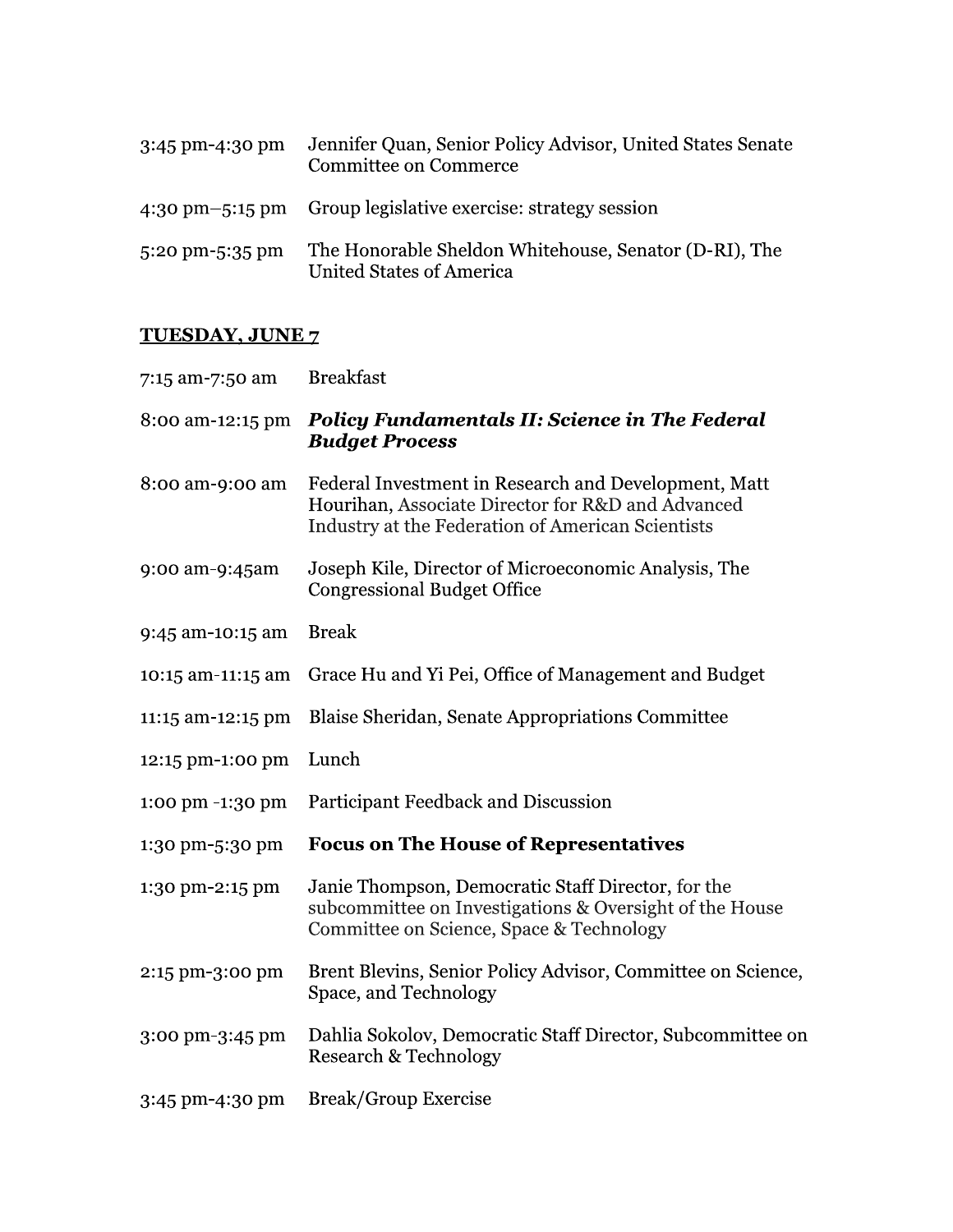| 3:45 pm-4:30 pm | Jennifer Quan, Senior Policy Advisor, United States Senate<br><b>Committee on Commerce</b> |
|-----------------|--------------------------------------------------------------------------------------------|
|                 | $4:30 \text{ pm}-5:15 \text{ pm}$ Group legislative exercise: strategy session             |
| 5:20 pm-5:35 pm | The Honorable Sheldon Whitehouse, Senator (D-RI), The<br><b>United States of America</b>   |

## **TUESDAY, JUNE 7**

| 7:15 am-7:50 am   | <b>Breakfast</b>                                                                                                                                               |
|-------------------|----------------------------------------------------------------------------------------------------------------------------------------------------------------|
| 8:00 am-12:15 pm  | <b>Policy Fundamentals II: Science in The Federal</b><br><b>Budget Process</b>                                                                                 |
| 8:00 am-9:00 am   | Federal Investment in Research and Development, Matt<br>Hourihan, Associate Director for R&D and Advanced<br>Industry at the Federation of American Scientists |
| 9:00 am-9:45am    | Joseph Kile, Director of Microeconomic Analysis, The<br><b>Congressional Budget Office</b>                                                                     |
| 9:45 am-10:15 am  | <b>Break</b>                                                                                                                                                   |
| 10:15 am-11:15 am | Grace Hu and Yi Pei, Office of Management and Budget                                                                                                           |
| 11:15 am-12:15 pm | Blaise Sheridan, Senate Appropriations Committee                                                                                                               |
| 12:15 pm-1:00 pm  | Lunch                                                                                                                                                          |
| 1:00 pm -1:30 pm  | Participant Feedback and Discussion                                                                                                                            |
| 1:30 pm-5:30 pm   | <b>Focus on The House of Representatives</b>                                                                                                                   |
| 1:30 pm-2:15 pm   | Janie Thompson, Democratic Staff Director, for the<br>subcommittee on Investigations & Oversight of the House<br>Committee on Science, Space & Technology      |
| 2:15 pm-3:00 pm   | Brent Blevins, Senior Policy Advisor, Committee on Science,<br>Space, and Technology                                                                           |
| 3:00 pm-3:45 pm   | Dahlia Sokolov, Democratic Staff Director, Subcommittee on<br>Research & Technology                                                                            |
| 3:45 pm-4:30 pm   | <b>Break/Group Exercise</b>                                                                                                                                    |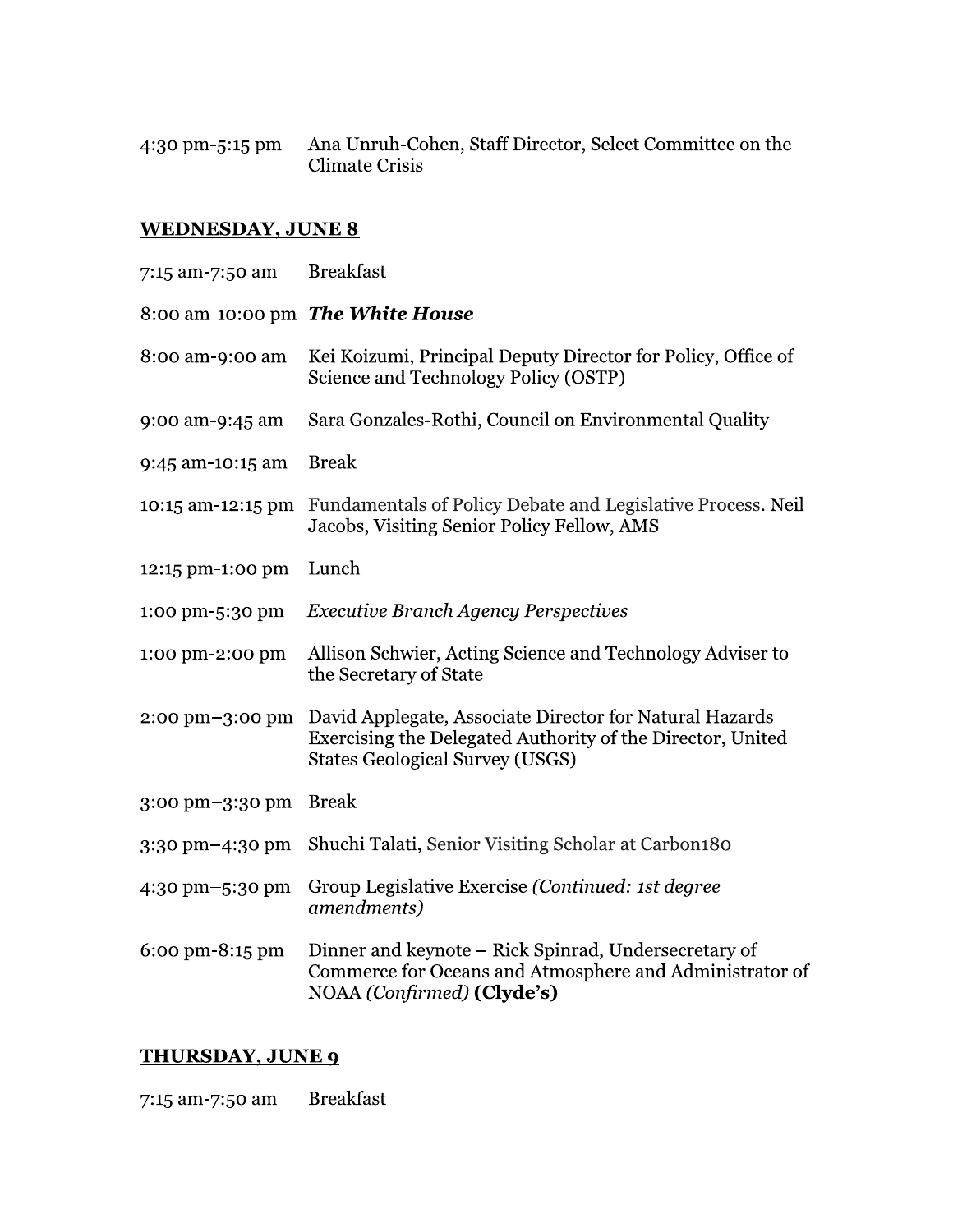4:30 pm-5:15 pm Ana Unruh-Cohen, Staff Director, Select Committee on the **Climate Crisis** 

## **WEDNESDAY, JUNE 8**

| 7:15 am-7:50 am   | <b>Breakfast</b>                                                                                                                                                |
|-------------------|-----------------------------------------------------------------------------------------------------------------------------------------------------------------|
|                   | 8:00 am-10:00 pm The White House                                                                                                                                |
| 8:00 am-9:00 am   | Kei Koizumi, Principal Deputy Director for Policy, Office of<br>Science and Technology Policy (OSTP)                                                            |
| 9:00 am-9:45 am   | Sara Gonzales-Rothi, Council on Environmental Quality                                                                                                           |
| 9:45 am-10:15 am  | <b>Break</b>                                                                                                                                                    |
| 10:15 am-12:15 pm | Fundamentals of Policy Debate and Legislative Process. Neil<br>Jacobs, Visiting Senior Policy Fellow, AMS                                                       |
| 12:15 pm-1:00 pm  | Lunch                                                                                                                                                           |
| 1:00 pm-5:30 pm   | <b>Executive Branch Agency Perspectives</b>                                                                                                                     |
| 1:00 pm-2:00 pm   | Allison Schwier, Acting Science and Technology Adviser to<br>the Secretary of State                                                                             |
| 2:00 pm-3:00 pm   | David Applegate, Associate Director for Natural Hazards<br>Exercising the Delegated Authority of the Director, United<br><b>States Geological Survey (USGS)</b> |
| 3:00 pm-3:30 pm   | <b>Break</b>                                                                                                                                                    |
| 3:30 pm-4:30 pm   | Shuchi Talati, Senior Visiting Scholar at Carbon180                                                                                                             |
| 4:30 pm-5:30 pm   | Group Legislative Exercise (Continued: 1st degree<br>amendments)                                                                                                |
| 6:00 pm-8:15 pm   | Dinner and keynote – Rick Spinrad, Undersecretary of<br>Commerce for Oceans and Atmosphere and Administrator of<br>NOAA (Confirmed) (Clyde's)                   |

# **THURSDAY, JUNE 9**

7:15 am-7:50 am Breakfast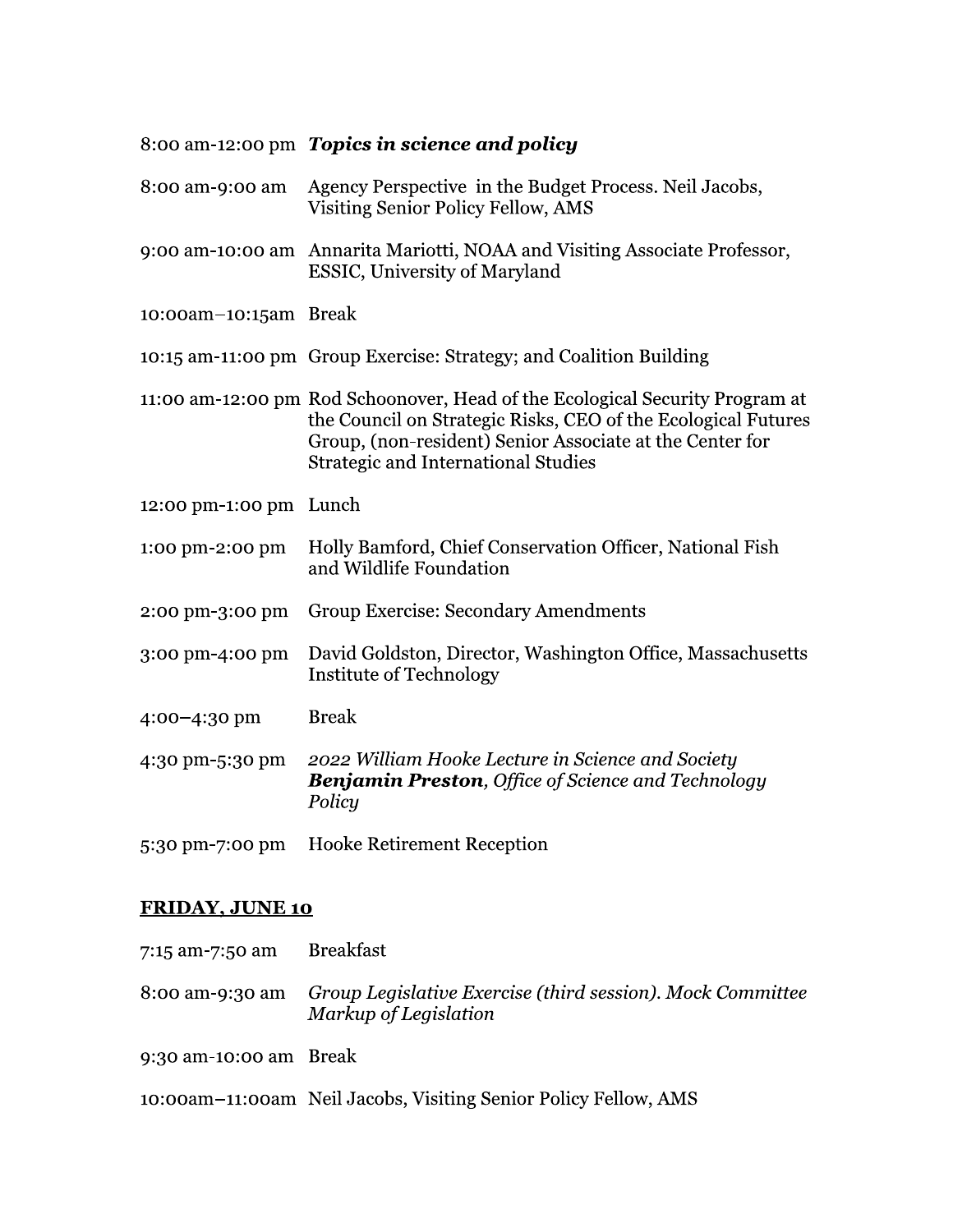|                        | 8:00 am-12:00 pm Topics in science and policy                                                                                                                                                                                                           |
|------------------------|---------------------------------------------------------------------------------------------------------------------------------------------------------------------------------------------------------------------------------------------------------|
| 8:00 am-9:00 am        | Agency Perspective in the Budget Process. Neil Jacobs,<br><b>Visiting Senior Policy Fellow, AMS</b>                                                                                                                                                     |
|                        | 9:00 am-10:00 am Annarita Mariotti, NOAA and Visiting Associate Professor,<br><b>ESSIC, University of Maryland</b>                                                                                                                                      |
| 10:00am-10:15am Break  |                                                                                                                                                                                                                                                         |
|                        | 10:15 am-11:00 pm Group Exercise: Strategy; and Coalition Building                                                                                                                                                                                      |
|                        | 11:00 am-12:00 pm Rod Schoonover, Head of the Ecological Security Program at<br>the Council on Strategic Risks, CEO of the Ecological Futures<br>Group, (non-resident) Senior Associate at the Center for<br><b>Strategic and International Studies</b> |
| 12:00 pm-1:00 pm Lunch |                                                                                                                                                                                                                                                         |
| 1:00 pm-2:00 pm        | Holly Bamford, Chief Conservation Officer, National Fish<br>and Wildlife Foundation                                                                                                                                                                     |
| 2:00 pm-3:00 pm        | <b>Group Exercise: Secondary Amendments</b>                                                                                                                                                                                                             |
| 3:00 pm-4:00 pm        | David Goldston, Director, Washington Office, Massachusetts<br><b>Institute of Technology</b>                                                                                                                                                            |
| 4:00-4:30 pm           | <b>Break</b>                                                                                                                                                                                                                                            |
| 4:30 pm-5:30 pm        | 2022 William Hooke Lecture in Science and Society<br>Benjamin Preston, Office of Science and Technology<br>Policy                                                                                                                                       |
| 5:30 pm-7:00 pm        | <b>Hooke Retirement Reception</b>                                                                                                                                                                                                                       |

# **FRIDAY, JUNE 10**

| 7:15 am-7:50 am          | Breakfast                                                                                           |
|--------------------------|-----------------------------------------------------------------------------------------------------|
|                          | 8:00 am-9:30 am Group Legislative Exercise (third session). Mock Committee<br>Markup of Legislation |
| $9:30$ am-10:00 am Break |                                                                                                     |

10:00am-11:00am Neil Jacobs, Visiting Senior Policy Fellow, AMS